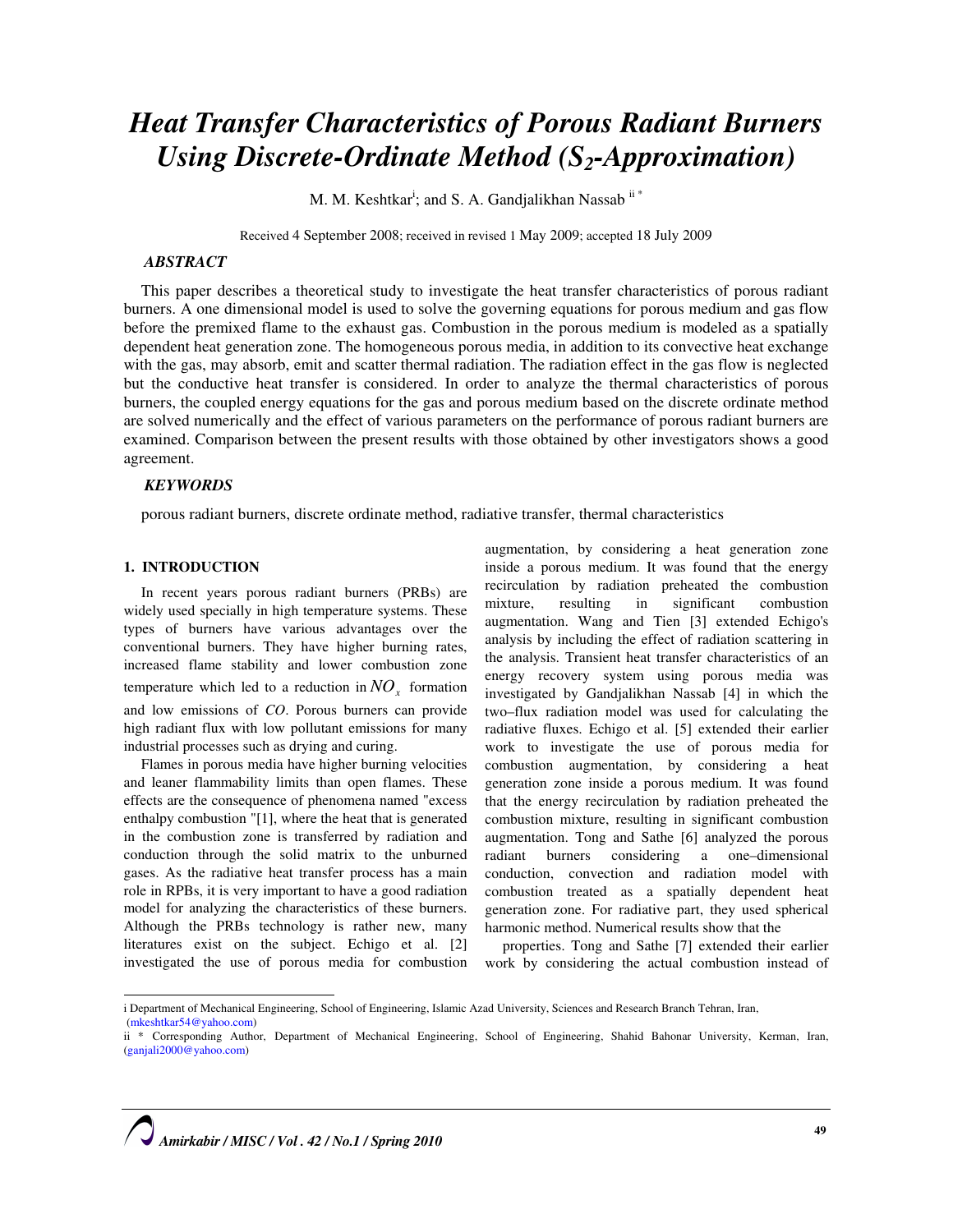# Heat Transfer Characteristics of Porous Radiant Burners Using Discrete-Ordinate Method  $(S_2$ -Approximation)

M. M. Keshtkar<sup>i</sup>; and S. A. Gandjalikhan Nassab<sup>ii\*</sup>

Received 4 September 2008; received in revised 1 May 2009; accepted 18 July 2009

# ABSTRACT

This paper describes a theoretical study to investigate the heat transfer characteristics of porous radiant burners. A one dimensional model is used to solve the governing equations for porous medium and gas flow before the premixed flame to the exhaust gas. Combustion in the porous medium is modeled as a spatially dependent heat generation zone. The homogeneous porous media, in addition to its convective heat exchange with the gas, may absorb, emit and scatter thermal radiation. The radiation effect in the gas flow is neglected but the conductive heat transfer is considered. In order to analyze the thermal characteristics of porous burners, the coupled energy equations for the gas and porous medium based on the discrete ordinate method are solved numerically and the effect of various parameters on the performance of porous radiant burners are examined. Comparison between the present results with those obtained by other investigators shows a good agreement.

# **KEYWORDS**

porous radiant burners, discrete ordinate method, radiative transfer, thermal characteristics

#### 1. INTRODUCTION

 $\overline{a}$ 

In recent years porous radiant burners (PRBs) are widely used specially in high temperature systems. These types of burners have various advantages over the conventional burners. They have higher burning rates, increased flame stability and lower combustion zone temperature which led to a reduction in  $NO<sub>x</sub>$  formation and low emissions of CO. Porous burners can provide high radiant flux with low pollutant emissions for many industrial processes such as drying and curing.

Flames in porous media have higher burning velocities and leaner flammability limits than open flames. These effects are the consequence of phenomena named "excess enthalpy combustion "[1], where the heat that is generated in the combustion zone is transferred by radiation and conduction through the solid matrix to the unburned gases. As the radiative heat transfer process has a main role in RPBs, it is very important to have a good radiation model for analyzing the characteristics of these burners. Although the PRBs technology is rather new, many literatures exist on the subject. Echigo et al. [2] investigated the use of porous media for combustion

augmentation, by considering a heat generation zone inside a porous medium. It was found that the energy recirculation by radiation preheated the combustion mixture, resulting in significant combustion augmentation. Wang and Tien [3] extended Echigo's analysis by including the effect of radiation scattering in the analysis. Transient heat transfer characteristics of an energy recovery system using porous media was investigated by Gandjalikhan Nassab [4] in which the two–flux radiation model was used for calculating the radiative fluxes. Echigo et al. [5] extended their earlier work to investigate the use of porous media for combustion augmentation, by considering a heat generation zone inside a porous medium. It was found that the energy recirculation by radiation preheated the combustion mixture, resulting in significant combustion augmentation. Tong and Sathe [6] analyzed the porous radiant burners considering a one–dimensional conduction, convection and radiation model with combustion treated as a spatially dependent heat generation zone. For radiative part, they used spherical harmonic method. Numerical results show that the

properties. Tong and Sathe [7] extended their earlier work by considering the actual combustion instead of

i Department of Mechanical Engineering, School of Engineering, Islamic Azad University, Sciences and Research Branch Tehran, Iran, (mkeshtkar54@yahoo.com)

ii \* Corresponding Author, Department of Mechanical Engineering, School of Engineering, Shahid Bahonar University, Kerman, Iran, (ganjali2000@yahoo.com)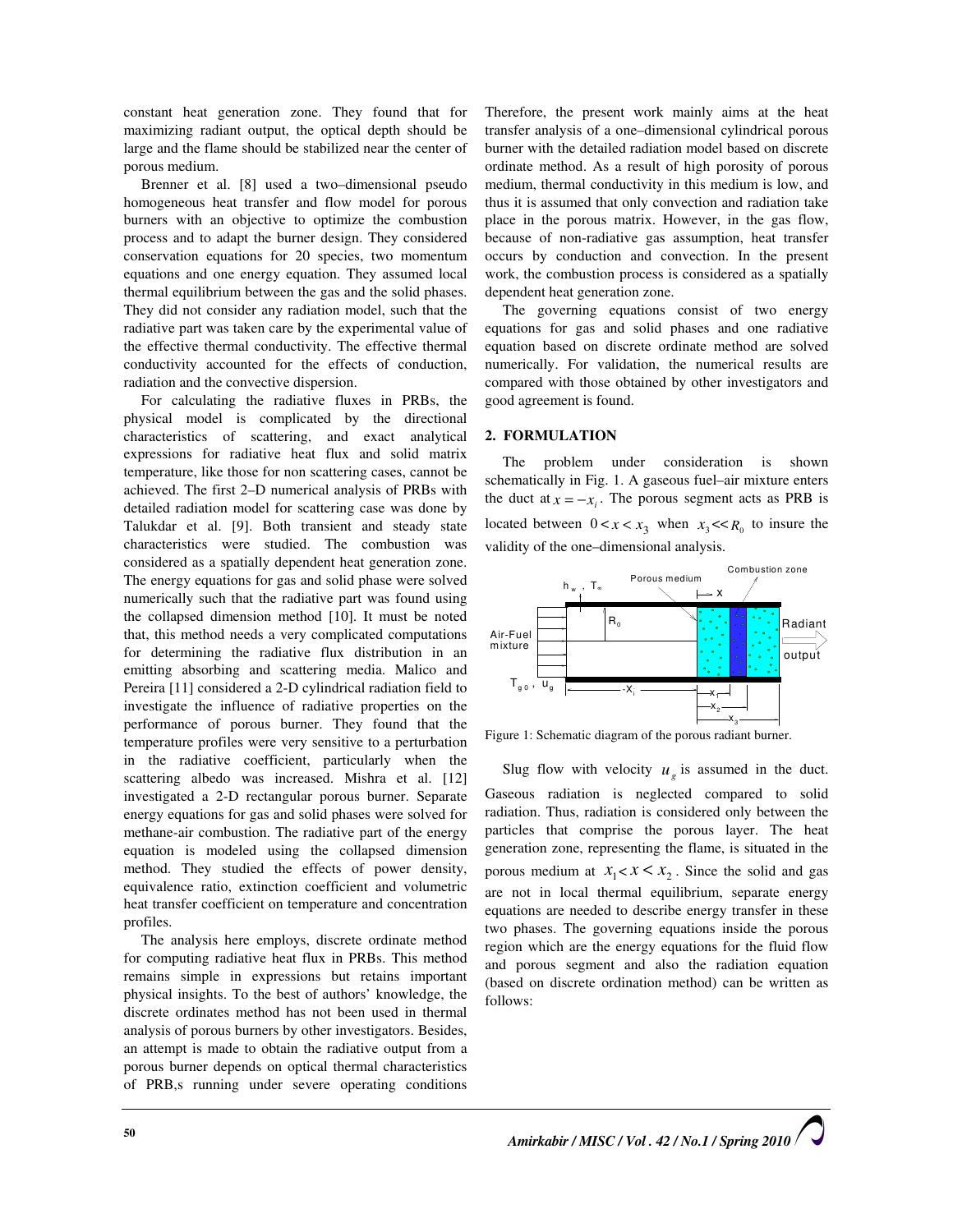constant heat generation zone. They found that for maximizing radiant output, the optical depth should be large and the flame should be stabilized near the center of porous medium.

Brenner et al. [8] used a two–dimensional pseudo homogeneous heat transfer and flow model for porous burners with an objective to optimize the combustion process and to adapt the burner design. They considered conservation equations for 20 species, two momentum equations and one energy equation. They assumed local thermal equilibrium between the gas and the solid phases. They did not consider any radiation model, such that the radiative part was taken care by the experimental value of the effective thermal conductivity. The effective thermal conductivity accounted for the effects of conduction, radiation and the convective dispersion.

For calculating the radiative fluxes in PRBs, the physical model is complicated by the directional characteristics of scattering, and exact analytical expressions for radiative heat flux and solid matrix temperature, like those for non scattering cases, cannot be achieved. The first 2–D numerical analysis of PRBs with detailed radiation model for scattering case was done by Talukdar et al. [9]. Both transient and steady state characteristics were studied. The combustion was considered as a spatially dependent heat generation zone. The energy equations for gas and solid phase were solved numerically such that the radiative part was found using the collapsed dimension method [10]. It must be noted that, this method needs a very complicated computations for determining the radiative flux distribution in an emitting absorbing and scattering media. Malico and Pereira [11] considered a 2-D cylindrical radiation field to investigate the influence of radiative properties on the performance of porous burner. They found that the temperature profiles were very sensitive to a perturbation in the radiative coefficient, particularly when the scattering albedo was increased. Mishra et al. [12] investigated a 2-D rectangular porous burner. Separate energy equations for gas and solid phases were solved for methane-air combustion. The radiative part of the energy equation is modeled using the collapsed dimension method. They studied the effects of power density, equivalence ratio, extinction coefficient and volumetric heat transfer coefficient on temperature and concentration profiles.

The analysis here employs, discrete ordinate method for computing radiative heat flux in PRBs. This method remains simple in expressions but retains important physical insights. To the best of authors' knowledge, the discrete ordinates method has not been used in thermal analysis of porous burners by other investigators. Besides, an attempt is made to obtain the radiative output from a porous burner depends on optical thermal characteristics of PRB,s running under severe operating conditions

Therefore, the present work mainly aims at the heat transfer analysis of a one–dimensional cylindrical porous burner with the detailed radiation model based on discrete ordinate method. As a result of high porosity of porous medium, thermal conductivity in this medium is low, and thus it is assumed that only convection and radiation take place in the porous matrix. However, in the gas flow, because of non-radiative gas assumption, heat transfer occurs by conduction and convection. In the present work, the combustion process is considered as a spatially dependent heat generation zone.

The governing equations consist of two energy equations for gas and solid phases and one radiative equation based on discrete ordinate method are solved numerically. For validation, the numerical results are compared with those obtained by other investigators and good agreement is found.

## 2. FORMULATION

The problem under consideration is shown schematically in Fig. 1. A gaseous fuel–air mixture enters the duct at  $x = -x_i$ . The porous segment acts as PRB is located between  $0 < x < x_3$  when  $x_3 < R_0$  to insure the validity of the one–dimensional analysis.



Figure 1: Schematic diagram of the porous radiant burner.

Slug flow with velocity  $u_g$  is assumed in the duct. Gaseous radiation is neglected compared to solid radiation. Thus, radiation is considered only between the particles that comprise the porous layer. The heat generation zone, representing the flame, is situated in the porous medium at  $x_1 < x < x_2$ . Since the solid and gas are not in local thermal equilibrium, separate energy equations are needed to describe energy transfer in these two phases. The governing equations inside the porous region which are the energy equations for the fluid flow and porous segment and also the radiation equation (based on discrete ordination method) can be written as follows: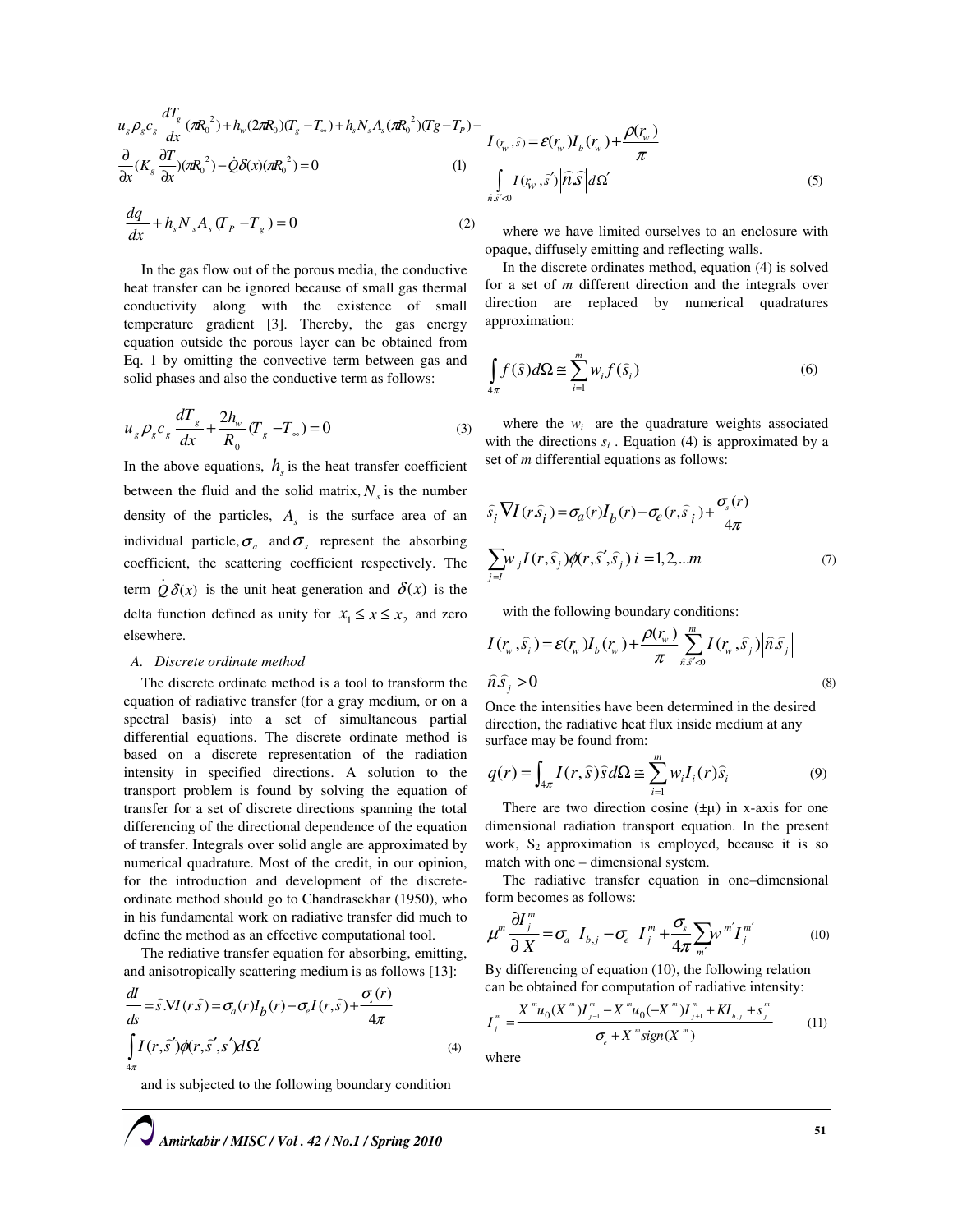$$
u_g \rho_g c_g \frac{dT_g}{dx} (\pi R_0^2) + h_w (2\pi R_0)(T_g - T_\infty) + h_s N_s A_s (\pi R_0^2)(Tg - T_p) - \frac{\partial}{\partial x} (K_g \frac{\partial T}{\partial x}) (\pi R_0^2) - Q \delta(x) (\pi R_0^2) = 0
$$
 (1)

$$
\frac{dq}{dx} + h_s N_s A_s (T_p - T_s) = 0
$$
\n(2)

In the gas flow out of the porous media, the conductive heat transfer can be ignored because of small gas thermal conductivity along with the existence of small temperature gradient [3]. Thereby, the gas energy equation outside the porous layer can be obtained from Eq. 1 by omitting the convective term between gas and solid phases and also the conductive term as follows:

$$
u_{g} \rho_{g} c_{g} \frac{dT_{g}}{dx} + \frac{2h_{w}}{R_{0}} (T_{g} - T_{\infty}) = 0
$$
 (3)

In the above equations,  $h<sub>s</sub>$  is the heat transfer coefficient between the fluid and the solid matrix,  $N<sub>s</sub>$  is the number density of the particles,  $A<sub>s</sub>$  is the surface area of an individual particle,  $\sigma_a$  and  $\sigma_s$  represent the absorbing coefficient, the scattering coefficient respectively. The term  $Q \delta(x)$ .  $Q\delta(x)$  is the unit heat generation and  $\delta(x)$  is the delta function defined as unity for  $x_1 \le x \le x_2$  and zero elsewhere.

## A. Discrete ordinate method

The discrete ordinate method is a tool to transform the equation of radiative transfer (for a gray medium, or on a spectral basis) into a set of simultaneous partial differential equations. The discrete ordinate method is based on a discrete representation of the radiation intensity in specified directions. A solution to the transport problem is found by solving the equation of transfer for a set of discrete directions spanning the total differencing of the directional dependence of the equation of transfer. Integrals over solid angle are approximated by numerical quadrature. Most of the credit, in our opinion, for the introduction and development of the discreteordinate method should go to Chandrasekhar (1950), who in his fundamental work on radiative transfer did much to define the method as an effective computational tool.

The rediative transfer equation for absorbing, emitting, and anisotropically scattering medium is as follows [13]:

$$
\frac{dI}{ds} = \hat{s}.\nabla I(r\hat{s}) = \sigma_a(r)I_b(r) - \sigma_e I(r,\hat{s}) + \frac{\sigma_s(r)}{4\pi}
$$
\n
$$
\int_{4\pi} I(r,\hat{s}')\phi(r,\hat{s}',s')d\Omega'
$$
\n(4)

and is subjected to the following boundary condition

$$
I_{(r_w, \hat{s})} = \mathcal{E}(r_w)I_b(r_w) + \frac{\rho(r_w)}{\pi}
$$
  

$$
\int_{\hat{n}\hat{s}'<0} I(r_w, \hat{s}') |\hat{n}\hat{s}| d\Omega'
$$
 (5)

where we have limited ourselves to an enclosure with opaque, diffusely emitting and reflecting walls.

In the discrete ordinates method, equation (4) is solved for a set of m different direction and the integrals over direction are replaced by numerical quadratures approximation:

$$
\int_{4\pi} f(\hat{s})d\Omega \cong \sum_{i=1}^{m} w_i f(\hat{s}_i)
$$
\n(6)

where the  $w_i$  are the quadrature weights associated with the directions  $s_i$ . Equation (4) is approximated by a set of *m* differential equations as follows:

$$
\hat{s}_i \nabla I(r\hat{s}_i) = \sigma_a(r)I_b(r) - \sigma_e(r,\hat{s}_i) + \frac{\sigma_s(r)}{4\pi}
$$
  

$$
\sum_{j=l} w_j I(r,\hat{s}_j) \phi(r,\hat{s}',\hat{s}_j) i = 1,2,...m
$$
 (7)

with the following boundary conditions:

$$
I(r_w, \hat{s}_i) = \mathcal{E}(r_w)I_b(r_w) + \frac{\rho(r_w)}{\pi} \sum_{\hat{n}, \hat{s}'<0}^m I(r_w, \hat{s}_j) |\hat{n}\hat{s}_j|
$$
  

$$
\hat{n}\hat{s}_j > 0
$$
 (8)

Once the intensities have been determined in the desired direction, the radiative heat flux inside medium at any surface may be found from:

$$
q(r) = \int_{4\pi} I(r,\hat{s}) \hat{s} d\Omega \cong \sum_{i=1}^{m} w_i I_i(r) \hat{s}_i
$$
 (9)

There are two direction cosine  $(\pm \mu)$  in x-axis for one dimensional radiation transport equation. In the present work,  $S_2$  approximation is employed, because it is so match with one – dimensional system.

The radiative transfer equation in one–dimensional form becomes as follows:

$$
\mu^m \frac{\partial I_j^m}{\partial X} = \sigma_a I_{b,j} - \sigma_e I_j^m + \frac{\sigma_s}{4\pi} \sum_{m'} w^{m'} I_j^{m'} \tag{10}
$$

By differencing of equation (10), the following relation can be obtained for computation of radiative intensity:

$$
I_j^m = \frac{X^m u_0(X^m) I_{j-1}^m - X^m u_0(-X^m) I_{j+1}^m + K I_{b,j} + s_j^m}{\sigma_e + X^m sign(X^m)}
$$
(11)

where

Amirkabir / MISC / Vol . 42 / No.1 / Spring 2010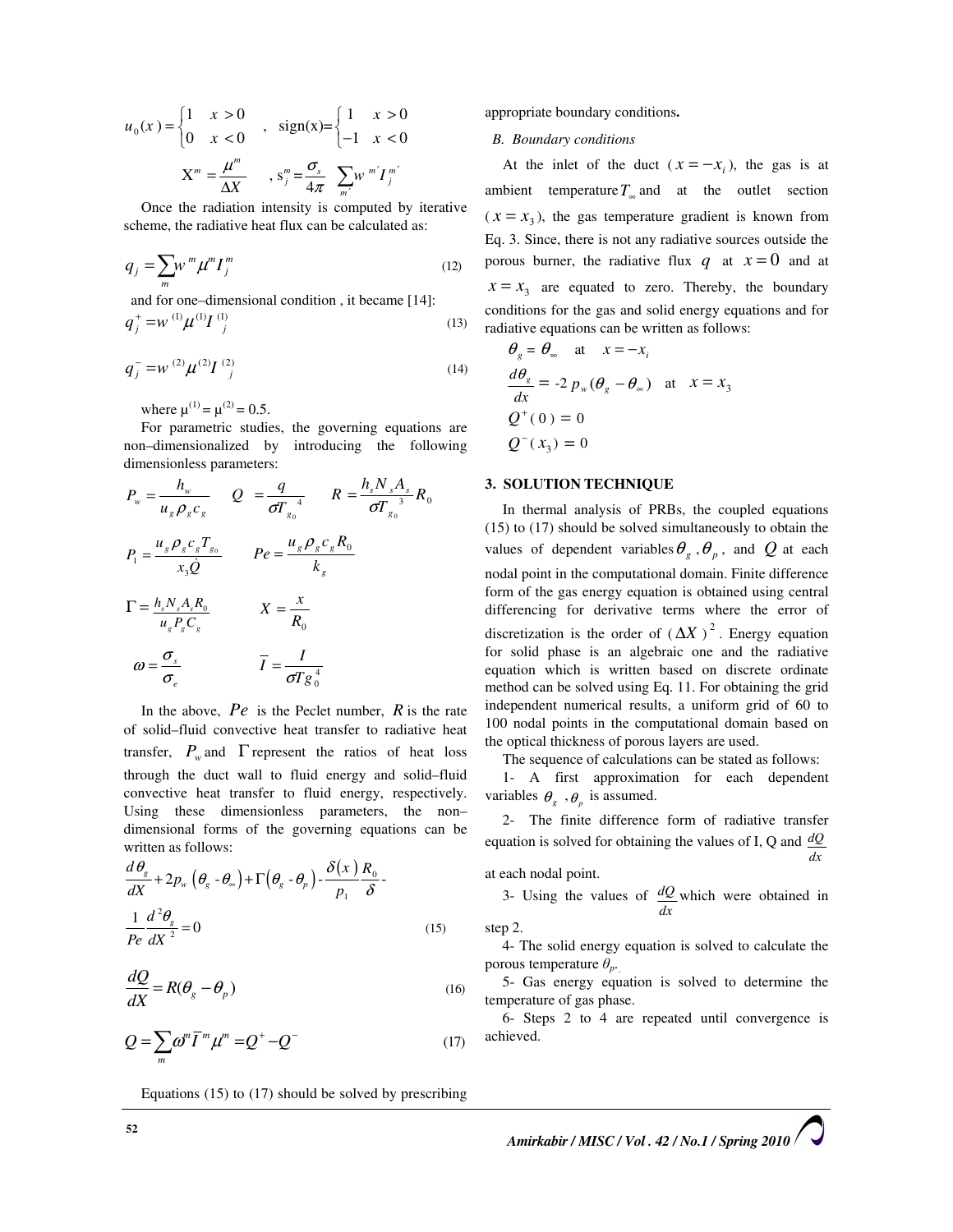$$
u_0(x) = \begin{cases} 1 & x > 0 \\ 0 & x < 0 \end{cases}
$$
,  $sign(x) = \begin{cases} 1 & x > 0 \\ -1 & x < 0 \end{cases}$   

$$
X^m = \frac{\mu^m}{\Delta X}
$$
,  $s_j^m = \frac{\sigma_s}{4\pi} \sum_{m'} w^{m'} I_j^{m'}$ 

Once the radiation intensity is computed by iterative scheme, the radiative heat flux can be calculated as:

$$
q_j = \sum_m w^m \mu^m I_j^m \tag{12}
$$

and for one-dimensional condition, it became [14]:  
\n
$$
q_j^+ = w^{(1)} \mu^{(1)} I^{(1)}_j
$$
 (13)

$$
q_j^- = w^{(2)} \mu^{(2)} I^{(2)}_{j}
$$
 (14)

where  $\mu^{(1)} = \mu^{(2)} = 0.5$ .

For parametric studies, the governing equations are non–dimensionalized by introducing the following dimensionless parameters:

$$
P_w = \frac{h_w}{u_g \rho_g c_g} \qquad Q = \frac{q}{\sigma T_{g_0}^4} \qquad R = \frac{h_s N_s A_s}{\sigma T_{g_0}^3} R_0
$$
  

$$
P_1 = \frac{u_g \rho_g c_g T_{g_0}}{x_3 Q} \qquad Pe = \frac{u_g \rho_g c_g R_0}{k_g}
$$
  

$$
\Gamma = \frac{h_s N_s A_s R_0}{u_g P_g C_g} \qquad X = \frac{x}{R_0}
$$
  

$$
\omega = \frac{\sigma_s}{\sigma_e} \qquad \qquad \overline{I} = \frac{I}{\sigma T g_0^4}
$$

In the above,  $Pe$  is the Peclet number,  $R$  is the rate of solid–fluid convective heat transfer to radiative heat transfer,  $P_w$  and  $\Gamma$  represent the ratios of heat loss through the duct wall to fluid energy and solid–fluid convective heat transfer to fluid energy, respectively. Using these dimensionless parameters, the non– dimensional forms of the governing equations can be written as follows:

$$
\frac{d\theta_{g}}{dX} + 2p_{w} \left(\theta_{g} - \theta_{\infty}\right) + \Gamma\left(\theta_{g} - \theta_{p}\right) - \frac{\delta(x)}{p_{1}} \frac{R_{0}}{\delta}
$$
\n
$$
\frac{1}{Pe} \frac{d^{2}\theta_{g}}{dX^{2}} = 0
$$
\n(15)

$$
\frac{dQ}{dX} = R(\theta_g - \theta_p) \tag{16}
$$

$$
Q = \sum_{m} \omega^{m} \overline{I}^{m} \mu^{m} = Q^{+} - Q^{-}
$$
 (17)

Equations (15) to (17) should be solved by prescribing

appropriate boundary conditions.

#### B. Boundary conditions

At the inlet of the duct  $(x = -x_i)$ , the gas is at ambient temperature  $T_{\infty}$  and at the outlet section  $(x = x_3)$ , the gas temperature gradient is known from Eq. 3. Since, there is not any radiative sources outside the porous burner, the radiative flux q at  $x = 0$  and at  $x = x_3$  are equated to zero. Thereby, the boundary conditions for the gas and solid energy equations and for radiative equations can be written as follows:

$$
\theta_g = \theta_\infty \quad \text{at} \quad x = -x_i
$$
  

$$
\frac{d\theta_g}{dx} = -2 p_w (\theta_g - \theta_\infty) \quad \text{at} \quad x = x_3
$$
  

$$
Q^+(0) = 0
$$
  

$$
Q^-(x_3) = 0
$$

#### 3. SOLUTION TECHNIQUE

In thermal analysis of PRBs, the coupled equations (15) to (17) should be solved simultaneously to obtain the values of dependent variables  $\theta_g$ ,  $\theta_p$ , and Q at each nodal point in the computational domain. Finite difference form of the gas energy equation is obtained using central differencing for derivative terms where the error of discretization is the order of  $(\Delta X)^2$ . Energy equation for solid phase is an algebraic one and the radiative equation which is written based on discrete ordinate method can be solved using Eq. 11. For obtaining the grid independent numerical results, a uniform grid of 60 to 100 nodal points in the computational domain based on the optical thickness of porous layers are used.

The sequence of calculations can be stated as follows:

1- A first approximation for each dependent variables  $\theta_g$ ,  $\theta_p$  is assumed.

2- The finite difference form of radiative transfer equation is solved for obtaining the values of I, Q and  $dQ$  $\frac{d}{dx}$ 

at each nodal point.

3- Using the values of  $dQ$ dx which were obtained in

step 2.

4- The solid energy equation is solved to calculate the porous temperature  $\theta_{p}$ .

5- Gas energy equation is solved to determine the temperature of gas phase.

6- Steps 2 to 4 are repeated until convergence is achieved.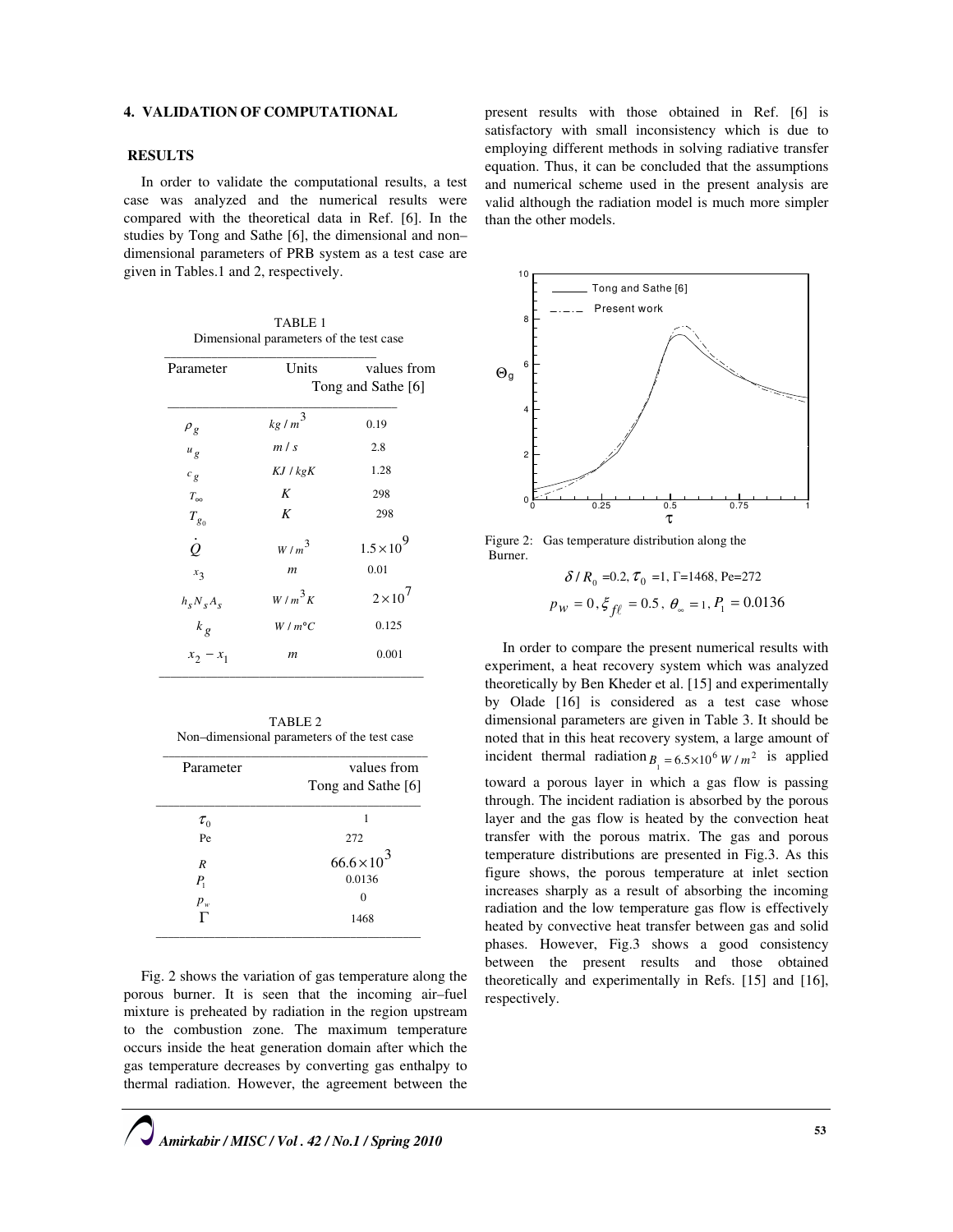# 4. VALIDATION OF COMPUTATIONAL

## RESULTS

In order to validate the computational results, a test case was analyzed and the numerical results were compared with the theoretical data in Ref. [6]. In the studies by Tong and Sathe [6], the dimensional and non– dimensional parameters of PRB system as a test case are given in Tables.1 and 2, respectively.

| TABLE <sub>1</sub>                      |
|-----------------------------------------|
| Dimensional parameters of the test case |
|                                         |

| Parameter       | Units              | values from         |  |
|-----------------|--------------------|---------------------|--|
|                 | Tong and Sathe [6] |                     |  |
| $\rho_g$        | $k g/m^3$          | 0.19                |  |
| $u_g$           | m/s                | 2.8                 |  |
| $c_g$           | $KJ$ / $kgK$       | 1.28                |  |
| $T_{\infty}$    | K                  | 298                 |  |
| $T_{g_0}$       | K                  | 298                 |  |
| $\dot{\varrho}$ | $W/m^3$            | $1.5 \times 10^{9}$ |  |
| $x_3$           | $\boldsymbol{m}$   | 0.01                |  |
| $h_s N_s A_s$   | $W/m^3 K$          | $2\times10^7$       |  |
| $k_g$           | $W/m^{\circ}C$     | 0.125               |  |
| $x_2 - x_1$     | $\boldsymbol{m}$   | 0.001               |  |

TABLE 2 Non–dimensional parameters of the test case

| Parameter   | values from        |  |
|-------------|--------------------|--|
|             | Tong and Sathe [6] |  |
| $\tau_{_0}$ |                    |  |
| Pe          | 272                |  |
| R           | $66.6 \times 10^3$ |  |
| $P_{1}$     | 0.0136             |  |
| $p_{w}$     | 0                  |  |
|             | 1468               |  |

Fig. 2 shows the variation of gas temperature along the porous burner. It is seen that the incoming air–fuel mixture is preheated by radiation in the region upstream to the combustion zone. The maximum temperature occurs inside the heat generation domain after which the gas temperature decreases by converting gas enthalpy to thermal radiation. However, the agreement between the

present results with those obtained in Ref. [6] is satisfactory with small inconsistency which is due to employing different methods in solving radiative transfer equation. Thus, it can be concluded that the assumptions and numerical scheme used in the present analysis are valid although the radiation model is much more simpler than the other models.



Figure 2: Gas temperature distribution along the Burner.

$$
\delta/R_0 = 0.2
$$
,  $\tau_0 = 1$ ,  $\Gamma = 1468$ ,  $\text{Pe}=272$   
 $p_W = 0$ ,  $\xi_{f\ell} = 0.5$ ,  $\theta_\infty = 1$ ,  $P_1 = 0.0136$ 

In order to compare the present numerical results with experiment, a heat recovery system which was analyzed theoretically by Ben Kheder et al. [15] and experimentally by Olade [16] is considered as a test case whose dimensional parameters are given in Table 3. It should be noted that in this heat recovery system, a large amount of incident thermal radiation  $B_1 = 6.5 \times 10^6 W/m^2$  is applied toward a porous layer in which a gas flow is passing through. The incident radiation is absorbed by the porous layer and the gas flow is heated by the convection heat transfer with the porous matrix. The gas and porous temperature distributions are presented in Fig.3. As this figure shows, the porous temperature at inlet section increases sharply as a result of absorbing the incoming radiation and the low temperature gas flow is effectively heated by convective heat transfer between gas and solid phases. However, Fig.3 shows a good consistency between the present results and those obtained theoretically and experimentally in Refs. [15] and [16], respectively.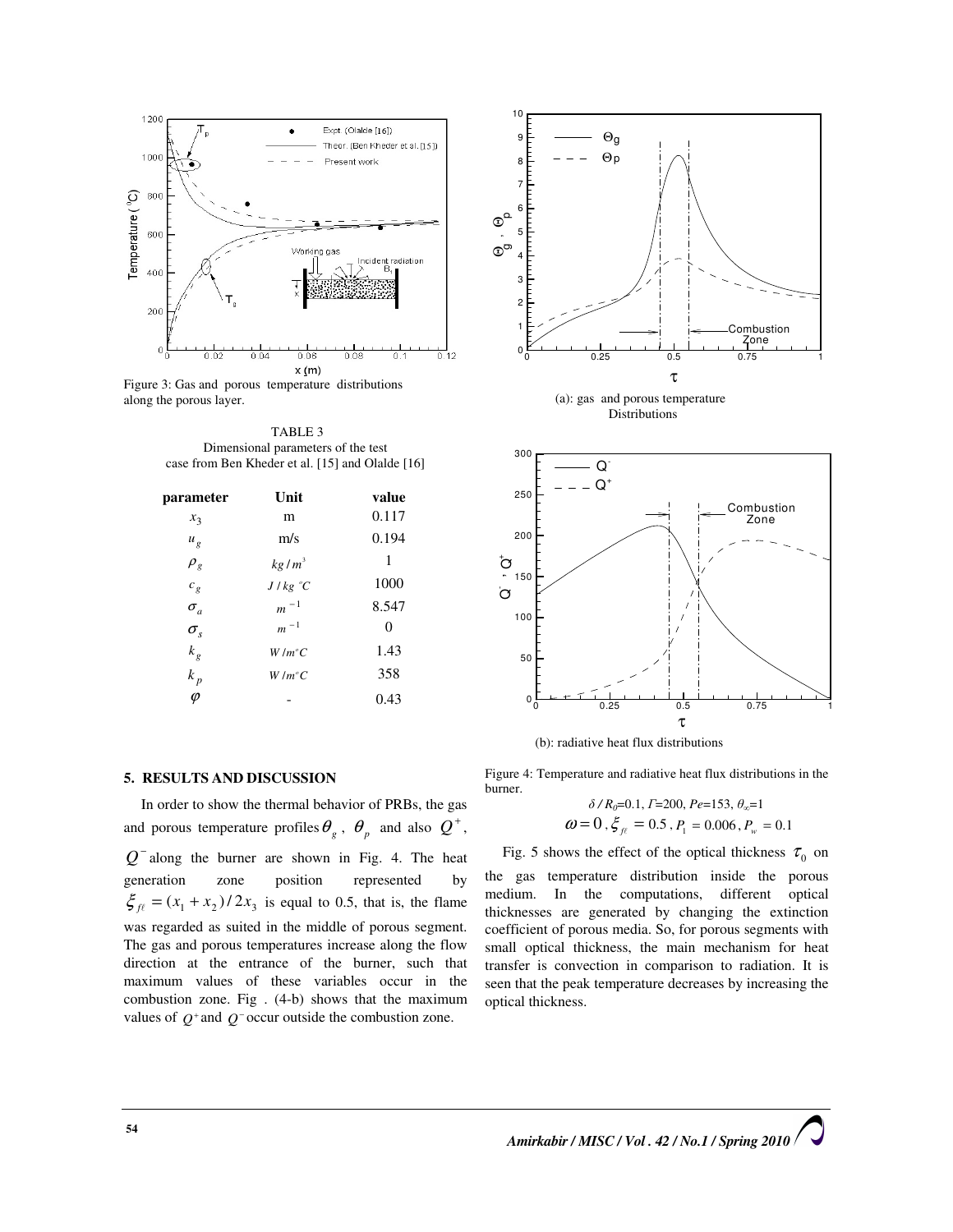

Figure 3: Gas and porous temperature distributions along the porous layer.

TABLE 3 Dimensional parameters of the test case from Ben Kheder et al. [15] and Olalde [16]

| Unit              | value |
|-------------------|-------|
| m                 | 0.117 |
| m/s               | 0.194 |
| kg/m <sup>3</sup> | 1     |
| J/kg °C           | 1000  |
| $m^{-1}$          | 8.547 |
| $m - 1$           | 0     |
| $W/m^{\circ}C$    | 1.43  |
| $W/m^{\circ}C$    | 358   |
|                   | 0.43  |
|                   |       |

## 5. RESULTS AND DISCUSSION

In order to show the thermal behavior of PRBs, the gas and porous temperature profiles  $\theta_g$ ,  $\theta_p$  and also  $Q^+$ ,  $Q^-$  along the burner are shown in Fig. 4. The heat generation zone position represented by  $\xi_{f\ell} = (x_1 + x_2)/2x_3$  is equal to 0.5, that is, the flame was regarded as suited in the middle of porous segment. The gas and porous temperatures increase along the flow direction at the entrance of the burner, such that maximum values of these variables occur in the combustion zone. Fig . (4-b) shows that the maximum values of  $Q^+$  and  $Q^-$  occur outside the combustion zone.



 (a): gas and porous temperature Distributions



(b): radiative heat flux distributions

Figure 4: Temperature and radiative heat flux distributions in the burner.

$$
\delta / R_0 = 0.1, I = 200, Pe = 153, \theta_{\infty} = 1
$$
  

$$
\omega = 0, \xi_{\text{f}} = 0.5, P_1 = 0.006, P_{\text{w}} = 0.1
$$

Fig. 5 shows the effect of the optical thickness  $\tau_0$  on the gas temperature distribution inside the porous medium. In the computations, different optical thicknesses are generated by changing the extinction coefficient of porous media. So, for porous segments with small optical thickness, the main mechanism for heat transfer is convection in comparison to radiation. It is seen that the peak temperature decreases by increasing the optical thickness.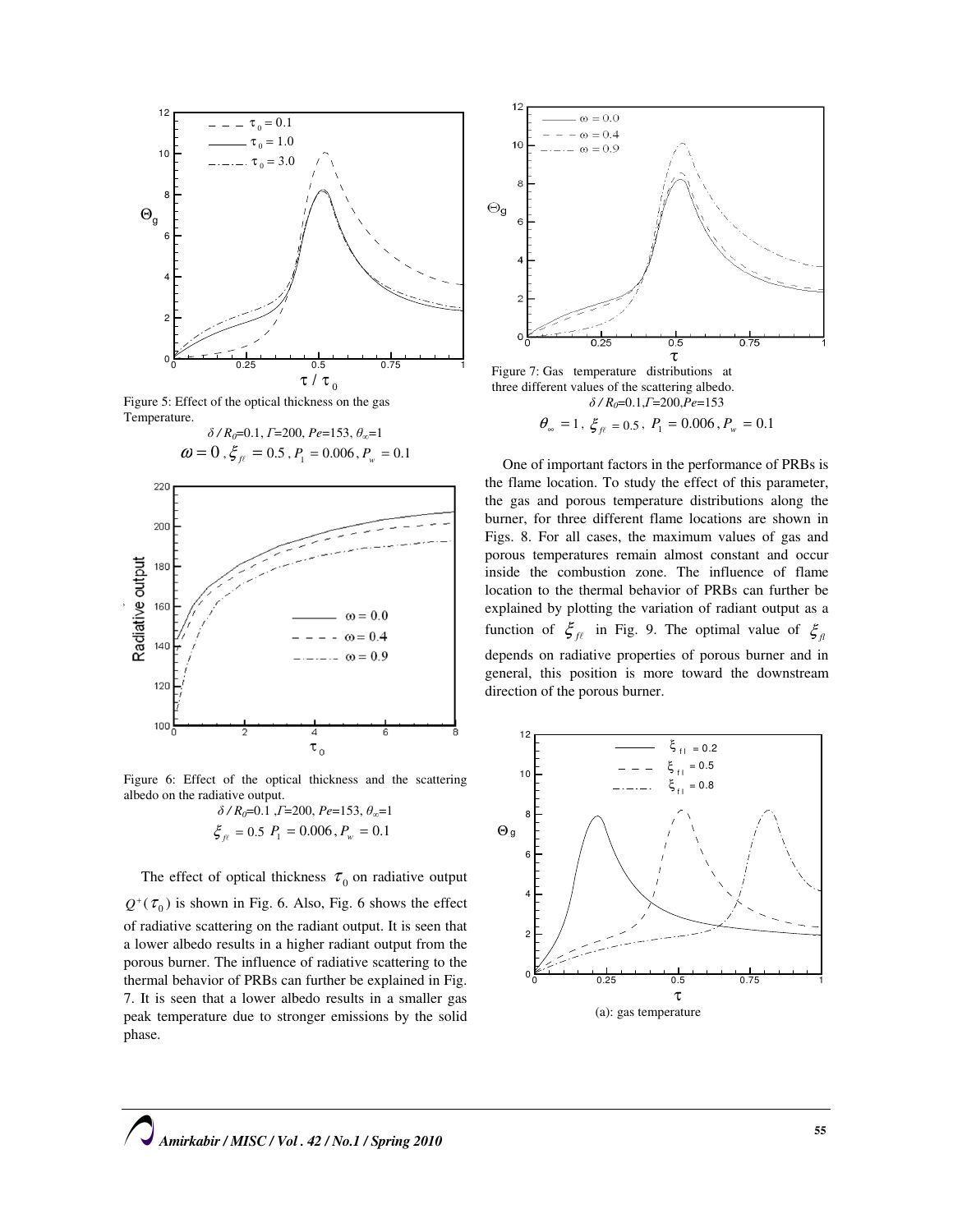

Figure 5: Effect of the optical thickness on the gas Temperature.





Figure 6: Effect of the optical thickness and the scattering albedo on the radiative output.

$$
\delta / R_0 = 0.1, T = 200, Pe = 153, \theta_\infty = 1
$$
  

$$
\xi_{\text{f}} = 0.5, P_1 = 0.006, P_w = 0.1
$$

The effect of optical thickness  $\tau_0$  on radiative output  $Q^{\dagger}(\tau_0)$  is shown in Fig. 6. Also, Fig. 6 shows the effect of radiative scattering on the radiant output. It is seen that a lower albedo results in a higher radiant output from the porous burner. The influence of radiative scattering to the thermal behavior of PRBs can further be explained in Fig. 7. It is seen that a lower albedo results in a smaller gas peak temperature due to stronger emissions by the solid phase.



 Figure 7: Gas temperature distributions at three different values of the scattering albedo.  $\delta$  /  $R_0$ =0.1, $\Gamma$ =200, $\bar{P}e$ =153

 $\theta_{\infty} = 1$ ,  $\zeta_{f\ell} = 0.5$ ,  $P_1 = 0.006$ ,  $P_w = 0.1$ 

One of important factors in the performance of PRBs is the flame location. To study the effect of this parameter, the gas and porous temperature distributions along the burner, for three different flame locations are shown in Figs. 8. For all cases, the maximum values of gas and porous temperatures remain almost constant and occur inside the combustion zone. The influence of flame location to the thermal behavior of PRBs can further be explained by plotting the variation of radiant output as a function of  $\zeta_{f\ell}$  in Fig. 9. The optimal value of  $\zeta_{f\ell}$ depends on radiative properties of porous burner and in general, this position is more toward the downstream direction of the porous burner.